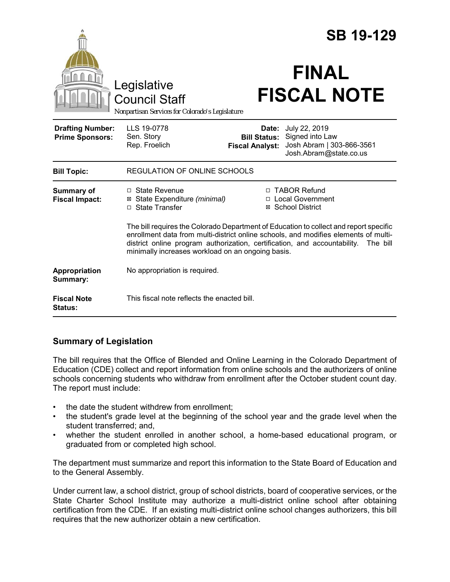|                                                   |                                                                                                                                                                                                                                                                                                                            | <b>SB 19-129</b>                                       |                                                                                         |
|---------------------------------------------------|----------------------------------------------------------------------------------------------------------------------------------------------------------------------------------------------------------------------------------------------------------------------------------------------------------------------------|--------------------------------------------------------|-----------------------------------------------------------------------------------------|
|                                                   | Legislative<br><b>Council Staff</b><br>Nonpartisan Services for Colorado's Legislature                                                                                                                                                                                                                                     |                                                        | <b>FINAL</b><br><b>FISCAL NOTE</b>                                                      |
| <b>Drafting Number:</b><br><b>Prime Sponsors:</b> | LLS 19-0778<br>Sen. Story<br>Rep. Froelich                                                                                                                                                                                                                                                                                 | Date:<br><b>Bill Status:</b><br><b>Fiscal Analyst:</b> | July 22, 2019<br>Signed into Law<br>Josh Abram   303-866-3561<br>Josh.Abram@state.co.us |
| <b>Bill Topic:</b>                                | <b>REGULATION OF ONLINE SCHOOLS</b>                                                                                                                                                                                                                                                                                        |                                                        |                                                                                         |
| Summary of<br><b>Fiscal Impact:</b>               | $\Box$ State Revenue<br>⊠ State Expenditure (minimal)<br>□ State Transfer                                                                                                                                                                                                                                                  |                                                        | □ TABOR Refund<br>□ Local Government<br>⊠ School District                               |
|                                                   | The bill requires the Colorado Department of Education to collect and report specific<br>enrollment data from multi-district online schools, and modifies elements of multi-<br>district online program authorization, certification, and accountability.<br>The bill<br>minimally increases workload on an ongoing basis. |                                                        |                                                                                         |
| Appropriation<br>Summary:                         | No appropriation is required.                                                                                                                                                                                                                                                                                              |                                                        |                                                                                         |
| <b>Fiscal Note</b><br>Status:                     | This fiscal note reflects the enacted bill.                                                                                                                                                                                                                                                                                |                                                        |                                                                                         |

# **Summary of Legislation**

The bill requires that the Office of Blended and Online Learning in the Colorado Department of Education (CDE) collect and report information from online schools and the authorizers of online schools concerning students who withdraw from enrollment after the October student count day. The report must include:

- the date the student withdrew from enrollment;
- the student's grade level at the beginning of the school year and the grade level when the student transferred; and,
- whether the student enrolled in another school, a home-based educational program, or graduated from or completed high school.

The department must summarize and report this information to the State Board of Education and to the General Assembly.

Under current law, a school district, group of school districts, board of cooperative services, or the State Charter School Institute may authorize a multi-district online school after obtaining certification from the CDE. If an existing multi-district online school changes authorizers, this bill requires that the new authorizer obtain a new certification.